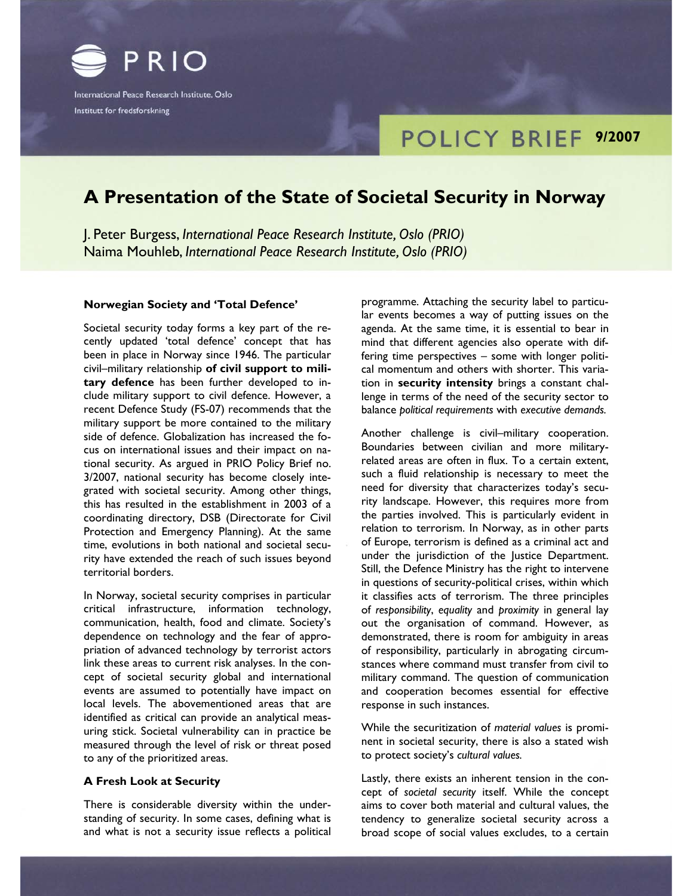

Institutt for fredsforskning

# **POLICY BRIEF 9/2007**

# **A Presentation of the State of Societal Security in Norway**

J. Peter Burgess, *International Peace Research Institute, Oslo (PRIO)* Naima Mouhleb, *International Peace Research Institute, Oslo (PRIO)*

# **Norwegian Society and 'Total Defence'**

Societal security today forms a key part of the recently updated 'total defence' concept that has been in place in Norway since 1946. The particular civil–military relationship **of civil support to military defence** has been further developed to include military support to civil defence. However, a recent Defence Study (FS-07) recommends that the military support be more contained to the military side of defence. Globalization has increased the focus on international issues and their impact on national security. As argued in PRIO Policy Brief no. 3/2007, national security has become closely integrated with societal security. Among other things, this has resulted in the establishment in 2003 of a coordinating directory, DSB (Directorate for Civil Protection and Emergency Planning). At the same time, evolutions in both national and societal security have extended the reach of such issues beyond territorial borders.

In Norway, societal security comprises in particular critical infrastructure, information technology, communication, health, food and climate. Society's dependence on technology and the fear of appropriation of advanced technology by terrorist actors link these areas to current risk analyses. In the concept of societal security global and international events are assumed to potentially have impact on local levels. The abovementioned areas that are identified as critical can provide an analytical measuring stick. Societal vulnerability can in practice be measured through the level of risk or threat posed to any of the prioritized areas.

#### **A Fresh Look at Security**

There is considerable diversity within the understanding of security. In some cases, defining what is and what is not a security issue reflects a political programme. Attaching the security label to particular events becomes a way of putting issues on the agenda. At the same time, it is essential to bear in mind that different agencies also operate with differing time perspectives – some with longer political momentum and others with shorter. This variation in **security intensity** brings a constant challenge in terms of the need of the security sector to balance *political requirements* with *executive demands.* 

Another challenge is civil–military cooperation. Boundaries between civilian and more militaryrelated areas are often in flux. To a certain extent, such a fluid relationship is necessary to meet the need for diversity that characterizes today's security landscape. However, this requires more from the parties involved. This is particularly evident in relation to terrorism. In Norway, as in other parts of Europe, terrorism is defined as a criminal act and under the jurisdiction of the Justice Department. Still, the Defence Ministry has the right to intervene in questions of security-political crises, within which it classifies acts of terrorism. The three principles of *responsibility*, *equality* and *proximity* in general lay out the organisation of command. However, as demonstrated, there is room for ambiguity in areas of responsibility, particularly in abrogating circumstances where command must transfer from civil to military command. The question of communication and cooperation becomes essential for effective response in such instances.

While the securitization of *material values* is prominent in societal security, there is also a stated wish to protect society's *cultural values.*

Lastly, there exists an inherent tension in the concept of *societal security* itself. While the concept aims to cover both material and cultural values, the tendency to generalize societal security across a broad scope of social values excludes, to a certain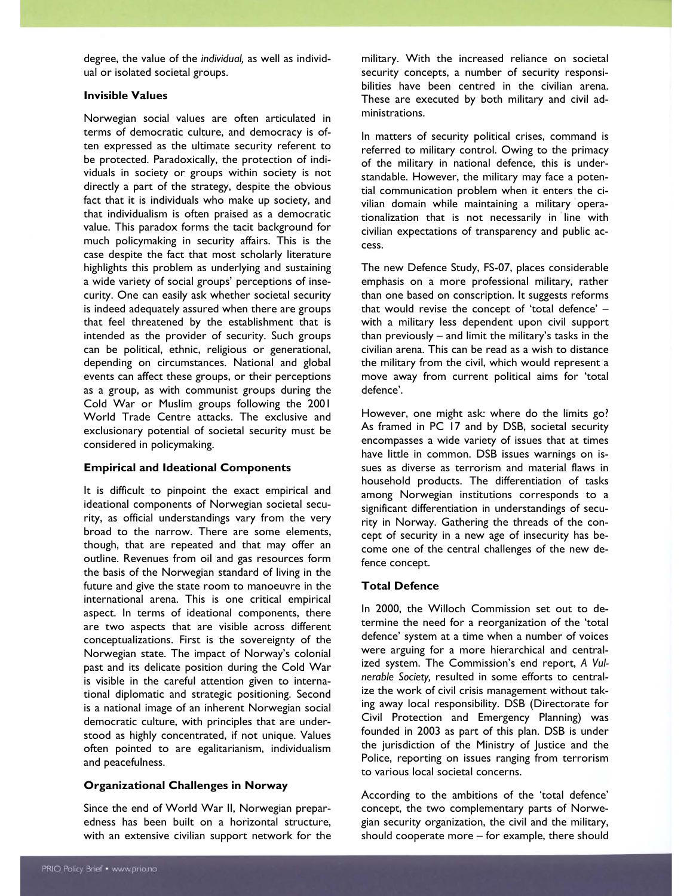degree, the value of the *individual,* as well as individual or isolated societal groups.

# **Invisible Values**

Norwegian social values are often articulated in terms of democratic culture, and democracy is often expressed as the ultimate security referent to be protected. Paradoxically, the protection of individuals in society or groups within society is not directly a part of the strategy, despite the obvious fact that it is individuals who make up society, and that individualism is often praised as a democratic value. This paradox forms the tacit background for much policymaking in security affairs. This is the case despite the fact that most scholarly literature highlights this problem as underlying and sustaining a wide variety of social groups' perceptions of insecurity. One can easily ask whether societal security is indeed adequately assured when there are groups that feel threatened by the establishment that is intended as the provider of security. Such groups can be political, ethnic, religious or generational, depending on circumstances. National and global events can affect these groups, or their perceptions as a group, as with communist groups during the Cold War or Muslim groups following the 2001 World Trade Centre attacks. The exclusive and exclusionary potential of societal security must be considered in policymaking.

# **Empirical and Ideational Components**

It is difficult to pinpoint the exact empirical and ideational components of Norwegian societal security, as official understandings vary from the very broad to the narrow. There are some elements, though, that are repeated and that may offer an outline. Revenues from oil and gas resources form the basis of the Norwegian standard of living in the future and give the state room to manoeuvre in the international arena. This is one critical empirical aspect. In terms of ideational components, there are two aspects that are visible across different conceptualizations. First is the sovereignty of the Norwegian state. The impact of Norway's colonial past and its delicate position during the Cold War is visible in the careful attention given to international diplomatic and strategic positioning. Second is a national image of an inherent Norwegian social democratic culture, with principles that are understood as highly concentrated, if not unique. Values often pointed to are egalitarianism, individualism and peacefulness.

# **Organizational Challenges in Norway**

Since the end of World War II, Norwegian preparedness has been built on a horizontal structure, with an extensive civilian support network for the military. With the increased reliance on societal security concepts, a number of security responsibilities have been centred in the civilian arena. These are executed by both military and civil administrations.

In matters of security political crises, command is referred to military control. Owing to the primacy of the military in national defence, this is understandable. However, the military may face a potential communication problem when it enters the civilian domain while maintaining a military operationalization that is not necessarily in line with civilian expectations of transparency and public access.

The new Defence Study, FS-07, places considerable emphasis on a more professional military, rather than one based on conscription. It suggests reforms that would revise the concept of 'total defence' – with a military less dependent upon civil support than previously – and limit the military's tasks in the civilian arena. This can be read as a wish to distance the military from the civil, which would represent a move away from current political aims for 'total defence'.

However, one might ask: where do the limits go? As framed in PC 17 and by DSB, societal security encompasses a wide variety of issues that at times have little in common. DSB issues warnings on issues as diverse as terrorism and material flaws in household products. The differentiation of tasks among Norwegian institutions corresponds to a significant differentiation in understandings of security in Norway. Gathering the threads of the concept of security in a new age of insecurity has become one of the central challenges of the new defence concept.

# **Total Defence**

In 2000, the Willoch Commission set out to determine the need for a reorganization of the 'total defence' system at a time when a number of voices were arguing for a more hierarchical and centralized system. The Commission's end report, *A Vulnerable Society,* resulted in some efforts to centralize the work of civil crisis management without taking away local responsibility. DSB (Directorate for Civil Protection and Emergency Planning) was founded in 2003 as part of this plan. DSB is under the jurisdiction of the Ministry of Justice and the Police, reporting on issues ranging from terrorism to various local societal concerns.

According to the ambitions of the 'total defence' concept, the two complementary parts of Norwegian security organization, the civil and the military, should cooperate more – for example, there should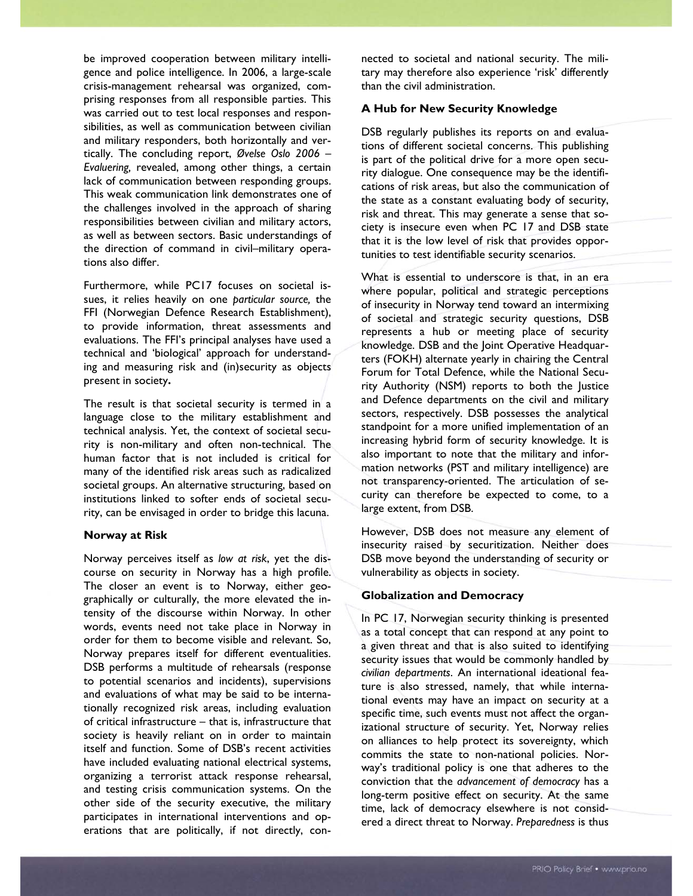be improved cooperation between military intelligence and police intelligence. In 2006, a large-scale crisis-management rehearsal was organized, comprising responses from all responsible parties. This was carried out to test local responses and responsibilities, as well as communication between civilian and military responders, both horizontally and vertically. The concluding report, *Øvelse Oslo 2006 – Evaluering,* revealed, among other things, a certain lack of communication between responding groups. This weak communication link demonstrates one of the challenges involved in the approach of sharing responsibilities between civilian and military actors, as well as between sectors. Basic understandings of the direction of command in civil–military operations also differ.

Furthermore, while PC17 focuses on societal issues, it relies heavily on one *particular source,* the FFI (Norwegian Defence Research Establishment), to provide information, threat assessments and evaluations. The FFI's principal analyses have used a technical and 'biological' approach for understanding and measuring risk and (in)security as objects present in society**.**

The result is that societal security is termed in a language close to the military establishment and technical analysis. Yet, the context of societal security is non-military and often non-technical. The human factor that is not included is critical for many of the identified risk areas such as radicalized societal groups. An alternative structuring, based on institutions linked to softer ends of societal security, can be envisaged in order to bridge this lacuna.

# **Norway at Risk**

Norway perceives itself as *low at risk*, yet the discourse on security in Norway has a high profile. The closer an event is to Norway, either geographically or culturally, the more elevated the intensity of the discourse within Norway. In other words, events need not take place in Norway in order for them to become visible and relevant. So, Norway prepares itself for different eventualities. DSB performs a multitude of rehearsals (response to potential scenarios and incidents), supervisions and evaluations of what may be said to be internationally recognized risk areas, including evaluation of critical infrastructure – that is, infrastructure that society is heavily reliant on in order to maintain itself and function. Some of DSB's recent activities have included evaluating national electrical systems, organizing a terrorist attack response rehearsal, and testing crisis communication systems. On the other side of the security executive, the military participates in international interventions and operations that are politically, if not directly, connected to societal and national security. The military may therefore also experience 'risk' differently than the civil administration.

### **A Hub for New Security Knowledge**

DSB regularly publishes its reports on and evaluations of different societal concerns. This publishing is part of the political drive for a more open security dialogue. One consequence may be the identifications of risk areas, but also the communication of the state as a constant evaluating body of security, risk and threat. This may generate a sense that society is insecure even when PC 17 and DSB state that it is the low level of risk that provides opportunities to test identifiable security scenarios.

What is essential to underscore is that, in an era where popular, political and strategic perceptions of insecurity in Norway tend toward an intermixing of societal and strategic security questions, DSB represents a hub or meeting place of security knowledge. DSB and the Joint Operative Headquarters (FOKH) alternate yearly in chairing the Central Forum for Total Defence, while the National Security Authority (NSM) reports to both the Justice and Defence departments on the civil and military sectors, respectively. DSB possesses the analytical standpoint for a more unified implementation of an increasing hybrid form of security knowledge. It is also important to note that the military and information networks (PST and military intelligence) are not transparency-oriented. The articulation of security can therefore be expected to come, to a large extent, from DSB.

However, DSB does not measure any element of insecurity raised by securitization. Neither does DSB move beyond the understanding of security or vulnerability as objects in society.

#### **Globalization and Democracy**

In PC 17, Norwegian security thinking is presented as a total concept that can respond at any point to a given threat and that is also suited to identifying security issues that would be commonly handled by *civilian departments*. An international ideational feature is also stressed, namely, that while international events may have an impact on security at a specific time, such events must not affect the organizational structure of security. Yet, Norway relies on alliances to help protect its sovereignty, which commits the state to non-national policies. Norway's traditional policy is one that adheres to the conviction that the *advancement of democracy* has a long-term positive effect on security. At the same time, lack of democracy elsewhere is not considered a direct threat to Norway. *Preparedness* is thus